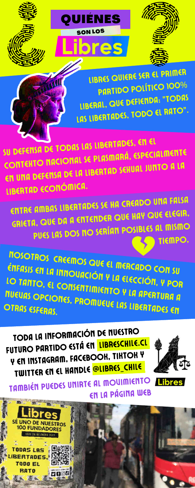

**ASSIS** 



QUIÉNES

SON LOS

res

ENTRE AMBAS LIBERTADES SE HA CREADO UNA FALSA GRIETA, QUE DA <sup>A</sup> ENTENDER QUE HAY QUE ELEGIR, PUES LAS DOS NO SERÍAN POSIBLES AL MISMO TIEMPO,

 $\Gamma$  ,  $\sim$  are close  $\mu$  bC  $VACI$ ÓN una anglic ENFASIS EN LA INNOVACIÓN Y LA ELECCIÓN, Y POR LO TANTO, EL CONSENTIMIENTO Y LA APERTURA A<br>LO TANTO, EL CONSENTIMIENTO Y LA APERTURA A NOSOTROS CREEMOS QUE EL MERCADO CON SU

### notaria (a confirmar) <u>r nomueue las l</u> NUEUAS OPCIONES, PROMUEUE LAS LIBERTURA ANDENAS<br>OTRAS ESFERAS OTRAS ESFERAS.

FUTURO PARTIDO ESTÁ EN <mark>[LIBRESCHILE.CL](http://www.libreschile.cl/)</mark> TODA LA INFORMACIÓN DE NUESTRO **Y EN INSTAGRAM, FACEBOOK, TIKTOK Y** TWITTER EN EL HANDLE <mark>@LIBRES\_CHILE</mark>



LIBRES QUIERE SER EL PRIMER PARTIDO POLÍTICO 100% LIBERAL, QUE DEFIENDA: "TODAS LAS LIBERTADES, TODO EL RATO".

SU DEFENSA DE TODAS LAS LIBERTADES, EN EL CONTEXTO NACIONAL SE PLASMARÁ, ESPECIALMENTE EN UNA DEFENSA DE LA LIBERTAD SEXUAL JUNTO A LA LIBERTAD ECONÓMICA.

## TAMBIÉN PUEDES UNIRTE AL MOVIMIENTO **Libres** EN LA PÁGINA WEB

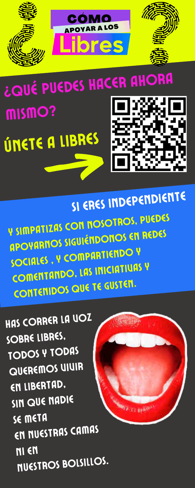

**NE NOSOTROS, PUEDES** Ven a fundarnos y SIMPATIZAS CON NOSOTROS, PUEDES **Dichnance NOWER THENES** process here. P SIIIIPHITENS SIGUIÉNDONOS EN REDES SOCIALES, Y COMPARTIENDO Y COMENTANDO, LAS INICIAT CONTENIDOS QUE TE GUSTEN. SI ERES INDEPENDIENTE

TODOS Y TODAS HAS CORRER LA VOZ SOBRE LIBRES, QUEREMOS VIVIR EN LIBERTAD, SIN QUE NADIE SE META EN NUESTRAS CAMAS NI EN NUESTROS BOLSILLOS.



¿QUÉ PUEDES HACER AHORA MISMO? ÚNETE A LIBRES